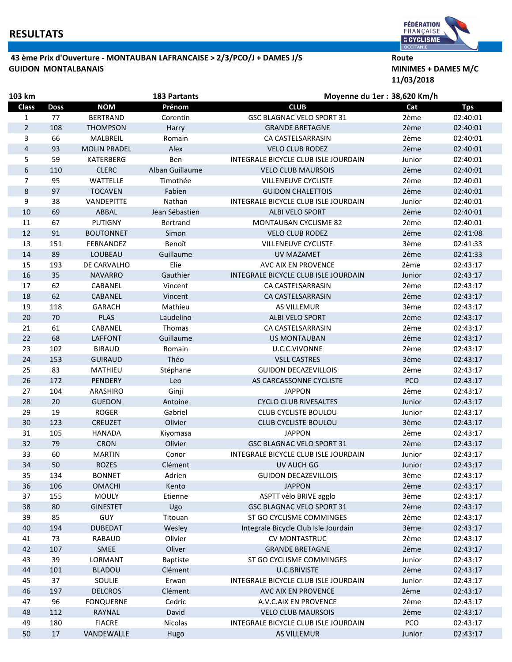## **RESULTATS**

## 43 ème Prix d'Ouverture - MONTAUBAN LAFRANCAISE > 2/3/PCO/J + DAMES J/S Route GUIDON MONTALBANAIS **MINIMES + DAMES M/C**



11/03/2018

| 103 km         |             |                     | <b>183 Partants</b> | Moyenne du 1er : 38,620 Km/h         |            |            |  |
|----------------|-------------|---------------------|---------------------|--------------------------------------|------------|------------|--|
| <b>Class</b>   | <b>Doss</b> | <b>NOM</b>          | Prénom              | <b>CLUB</b>                          | Cat        | <b>Tps</b> |  |
| 1              | 77          | <b>BERTRAND</b>     | Corentin            | <b>GSC BLAGNAC VELO SPORT 31</b>     | 2ème       | 02:40:01   |  |
| $\overline{2}$ | 108         | <b>THOMPSON</b>     | Harry               | <b>GRANDE BRETAGNE</b>               | 2ème       | 02:40:01   |  |
| 3              | 66          | MALBREIL            | Romain              | CA CASTELSARRASIN                    | 2ème       | 02:40:01   |  |
| 4              | 93          | <b>MOLIN PRADEL</b> | Alex                | <b>VELO CLUB RODEZ</b>               | 2ème       | 02:40:01   |  |
| 5              | 59          | KATERBERG           | Ben                 | INTEGRALE BICYCLE CLUB ISLE JOURDAIN | Junior     | 02:40:01   |  |
| 6              | 110         | <b>CLERC</b>        | Alban Guillaume     | <b>VELO CLUB MAURSOIS</b>            | 2ème       | 02:40:01   |  |
| 7              | 95          | WATTELLE            | Timothée            | <b>VILLENEUVE CYCLISTE</b>           | 2ème       | 02:40:01   |  |
| 8              | 97          | <b>TOCAVEN</b>      | Fabien              | <b>GUIDON CHALETTOIS</b>             | 2ème       | 02:40:01   |  |
| 9              | 38          | VANDEPITTE          | Nathan              | INTEGRALE BICYCLE CLUB ISLE JOURDAIN | Junior     | 02:40:01   |  |
| 10             | 69          | ABBAL               | Jean Sébastien      | ALBI VELO SPORT                      | 2ème       | 02:40:01   |  |
| 11             | 67          | <b>PUTIGNY</b>      | Bertrand            | <b>MONTAUBAN CYCLISME 82</b>         | 2ème       | 02:40:01   |  |
| 12             | 91          | <b>BOUTONNET</b>    | Simon               | <b>VELO CLUB RODEZ</b>               | 2ème       | 02:41:08   |  |
| 13             | 151         | FERNANDEZ           | Benoît              | <b>VILLENEUVE CYCLISTE</b>           | 3ème       | 02:41:33   |  |
| 14             | 89          | LOUBEAU             | Guillaume           | <b>UV MAZAMET</b>                    | 2ème       | 02:41:33   |  |
| 15             | 193         | DE CARVALHO         | Elie                | AVC AIX EN PROVENCE                  | 2ème       | 02:43:17   |  |
| 16             | 35          | <b>NAVARRO</b>      | Gauthier            | INTEGRALE BICYCLE CLUB ISLE JOURDAIN | Junior     | 02:43:17   |  |
| 17             | 62          | CABANEL             | Vincent             | CA CASTELSARRASIN                    | 2ème       | 02:43:17   |  |
| 18             | 62          | CABANEL             | Vincent             | CA CASTELSARRASIN                    | 2ème       | 02:43:17   |  |
| 19             | 118         | <b>GARACH</b>       | Mathieu             | <b>AS VILLEMUR</b>                   | 3ème       | 02:43:17   |  |
| 20             | 70          | <b>PLAS</b>         | Laudelino           | ALBI VELO SPORT                      | 2ème       | 02:43:17   |  |
| 21             | 61          | CABANEL             | Thomas              | CA CASTELSARRASIN                    | 2ème       | 02:43:17   |  |
| 22             | 68          | <b>LAFFONT</b>      | Guillaume           | <b>US MONTAUBAN</b>                  | 2ème       | 02:43:17   |  |
| 23             | 102         | <b>BIRAUD</b>       | Romain              | U.C.C.VIVONNE                        | 2ème       | 02:43:17   |  |
| 24             | 153         | <b>GUIRAUD</b>      | Théo                | <b>VSLL CASTRES</b>                  | 3ème       | 02:43:17   |  |
| 25             | 83          | MATHIEU             | Stéphane            | <b>GUIDON DECAZEVILLOIS</b>          | 2ème       | 02:43:17   |  |
| 26             | 172         | <b>PENDERY</b>      | Leo                 | AS CARCASSONNE CYCLISTE              | <b>PCO</b> | 02:43:17   |  |
| 27             | 104         | ARASHIRO            | Ginji               | <b>JAPPON</b>                        | 2ème       | 02:43:17   |  |
| 28             | 20          | <b>GUEDON</b>       | Antoine             | <b>CYCLO CLUB RIVESALTES</b>         | Junior     | 02:43:17   |  |
| 29             | 19          | <b>ROGER</b>        | Gabriel             | CLUB CYCLISTE BOULOU                 | Junior     | 02:43:17   |  |
| 30             | 123         | <b>CREUZET</b>      | Olivier             | <b>CLUB CYCLISTE BOULOU</b>          | 3ème       | 02:43:17   |  |
| 31             | 105         | <b>HANADA</b>       | Kiyomasa            | <b>JAPPON</b>                        | 2ème       | 02:43:17   |  |
| 32             | 79          | <b>CRON</b>         | Olivier             | <b>GSC BLAGNAC VELO SPORT 31</b>     | 2ème       | 02:43:17   |  |
| 33             | 60          | <b>MARTIN</b>       | Conor               | INTEGRALE BICYCLE CLUB ISLE JOURDAIN | Junior     | 02:43:17   |  |
| 34             | 50          | <b>ROZES</b>        | Clément             | UV AUCH GG                           | Junior     | 02:43:17   |  |
| 35             | 134         | <b>BONNET</b>       | Adrien              | <b>GUIDON DECAZEVILLOIS</b>          | 3ème       | 02:43:17   |  |
| 36             | 106         | <b>OMACHI</b>       | Kento               | <b>JAPPON</b>                        | 2ème       | 02:43:17   |  |
| 37             | 155         | <b>MOULY</b>        | Etienne             | ASPTT vélo BRIVE agglo               | 3ème       | 02:43:17   |  |
| 38             | 80          | <b>GINESTET</b>     | Ugo                 | <b>GSC BLAGNAC VELO SPORT 31</b>     | 2ème       | 02:43:17   |  |
| 39             | 85          | GUY                 | Titouan             | ST GO CYCLISME COMMINGES             | 2ème       | 02:43:17   |  |
| 40             | 194         | <b>DUBEDAT</b>      | Wesley              | Integrale Bicycle Club Isle Jourdain | 3ème       | 02:43:17   |  |
| 41             | 73          | RABAUD              | Olivier             | <b>CV MONTASTRUC</b>                 | 2ème       | 02:43:17   |  |
| 42             | 107         | <b>SMEE</b>         | Oliver              | <b>GRANDE BRETAGNE</b>               | 2ème       | 02:43:17   |  |
| 43             | 39          | LORMANT             | <b>Baptiste</b>     | ST GO CYCLISME COMMINGES             | Junior     | 02:43:17   |  |
| 44             | 101         | <b>BLADOU</b>       | Clément             | <b>U.C.BRIVISTE</b>                  | 2ème       | 02:43:17   |  |
| 45             | 37          | SOULIE              | Erwan               | INTEGRALE BICYCLE CLUB ISLE JOURDAIN | Junior     | 02:43:17   |  |
| 46             | 197         | <b>DELCROS</b>      | Clément             | AVC AIX EN PROVENCE                  | 2ème       | 02:43:17   |  |
| 47             | 96          | <b>FONQUERNE</b>    | Cedric              | A.V.C.AIX EN PROVENCE                | 2ème       | 02:43:17   |  |
| 48             | 112         | RAYNAL              | David               | <b>VELO CLUB MAURSOIS</b>            | 2ème       | 02:43:17   |  |
| 49             | 180         | <b>FIACRE</b>       | Nicolas             | INTEGRALE BICYCLE CLUB ISLE JOURDAIN | PCO        | 02:43:17   |  |
| 50             | 17          | VANDEWALLE          | Hugo                | AS VILLEMUR                          | Junior     | 02:43:17   |  |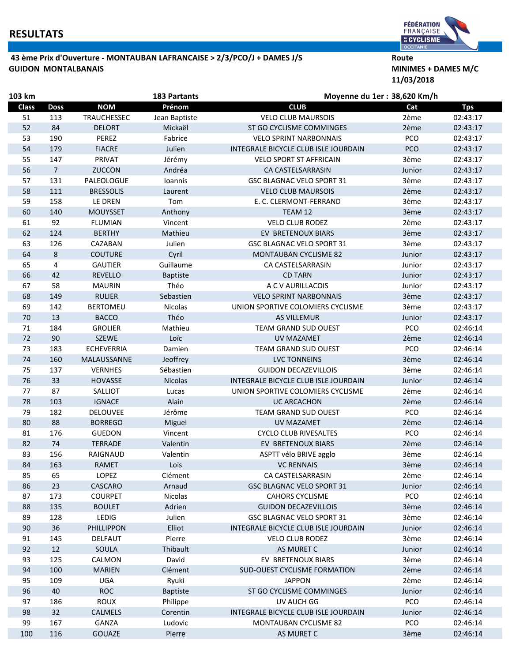## 43 ème Prix d'Ouverture - MONTAUBAN LAFRANCAISE > 2/3/PCO/J + DAMES J/S Route GUIDON MONTALBANAIS **MINIMES + DAMES M/C**



11/03/2018

| 103 km<br><b>183 Partants</b> |                |                   |                 | Moyenne du 1er : 38,620 Km/h         |            |            |  |
|-------------------------------|----------------|-------------------|-----------------|--------------------------------------|------------|------------|--|
| <b>Class</b>                  | <b>Doss</b>    | <b>NOM</b>        | Prénom          | <b>CLUB</b>                          | Cat        | <b>Tps</b> |  |
| 51                            | 113            | TRAUCHESSEC       | Jean Baptiste   | <b>VELO CLUB MAURSOIS</b>            | 2ème       | 02:43:17   |  |
| 52                            | 84             | <b>DELORT</b>     | Mickaël         | ST GO CYCLISME COMMINGES             | 2ème       | 02:43:17   |  |
| 53                            | 190            | <b>PEREZ</b>      | Fabrice         | <b>VELO SPRINT NARBONNAIS</b>        | PCO        | 02:43:17   |  |
| 54                            | 179            | <b>FIACRE</b>     | Julien          | INTEGRALE BICYCLE CLUB ISLE JOURDAIN | <b>PCO</b> | 02:43:17   |  |
| 55                            | 147            | PRIVAT            | Jérémy          | <b>VELO SPORT ST AFFRICAIN</b>       | 3ème       | 02:43:17   |  |
| 56                            | $\overline{7}$ | <b>ZUCCON</b>     | Andréa          | CA CASTELSARRASIN                    | Junior     | 02:43:17   |  |
| 57                            | 131            | PALEOLOGUE        | Ioannis         | GSC BLAGNAC VELO SPORT 31            | 3ème       | 02:43:17   |  |
| 58                            | 111            | <b>BRESSOLIS</b>  | Laurent         | <b>VELO CLUB MAURSOIS</b>            | 2ème       | 02:43:17   |  |
| 59                            | 158            | LE DREN           | Tom             | E. C. CLERMONT-FERRAND               | 3ème       | 02:43:17   |  |
| 60                            | 140            | <b>MOUYSSET</b>   | Anthony         | TEAM 12                              | 3ème       | 02:43:17   |  |
| 61                            | 92             | <b>FLUMIAN</b>    | Vincent         | <b>VELO CLUB RODEZ</b>               | 2ème       | 02:43:17   |  |
| 62                            | 124            | <b>BERTHY</b>     | Mathieu         | EV BRETENOUX BIARS                   | 3ème       | 02:43:17   |  |
| 63                            | 126            | CAZABAN           | Julien          | GSC BLAGNAC VELO SPORT 31            | 3ème       | 02:43:17   |  |
| 64                            | 8              | <b>COUTURE</b>    | Cyril           | <b>MONTAUBAN CYCLISME 82</b>         | Junior     | 02:43:17   |  |
| 65                            | 4              | <b>GAUTIER</b>    | Guillaume       | CA CASTELSARRASIN                    | Junior     | 02:43:17   |  |
| 66                            | 42             | <b>REVELLO</b>    | <b>Baptiste</b> | <b>CD TARN</b>                       | Junior     | 02:43:17   |  |
| 67                            | 58             | <b>MAURIN</b>     | Théo            | A C V AURILLACOIS                    | Junior     | 02:43:17   |  |
| 68                            | 149            | <b>RULIER</b>     | Sebastien       | <b>VELO SPRINT NARBONNAIS</b>        | 3ème       | 02:43:17   |  |
| 69                            | 142            | <b>BERTOMEU</b>   | Nicolas         | UNION SPORTIVE COLOMIERS CYCLISME    | 3ème       | 02:43:17   |  |
| 70                            | 13             | <b>BACCO</b>      | Théo            | <b>AS VILLEMUR</b>                   | Junior     | 02:43:17   |  |
| 71                            | 184            | <b>GROLIER</b>    | Mathieu         | TEAM GRAND SUD OUEST                 | PCO        | 02:46:14   |  |
| 72                            | 90             | <b>SZEWE</b>      | Loïc            | <b>UV MAZAMET</b>                    | 2ème       | 02:46:14   |  |
| 73                            | 183            | <b>ECHEVERRIA</b> | Damien          | TEAM GRAND SUD OUEST                 | PCO        | 02:46:14   |  |
| 74                            | 160            | MALAUSSANNE       | Jeoffrey        | <b>LVC TONNEINS</b>                  | 3ème       | 02:46:14   |  |
| 75                            | 137            | <b>VERNHES</b>    | Sébastien       | <b>GUIDON DECAZEVILLOIS</b>          | 3ème       | 02:46:14   |  |
| 76                            | 33             | <b>HOVASSE</b>    | <b>Nicolas</b>  | INTEGRALE BICYCLE CLUB ISLE JOURDAIN | Junior     | 02:46:14   |  |
| 77                            | 87             | SALLIOT           | Lucas           | UNION SPORTIVE COLOMIERS CYCLISME    | 2ème       | 02:46:14   |  |
| 78                            | 103            | <b>IGNACE</b>     | Alain           | <b>UC ARCACHON</b>                   | 2ème       | 02:46:14   |  |
| 79                            | 182            | DELOUVEE          | Jérôme          | TEAM GRAND SUD OUEST                 | <b>PCO</b> | 02:46:14   |  |
| 80                            | 88             | <b>BORREGO</b>    | Miguel          | <b>UV MAZAMET</b>                    | 2ème       | 02:46:14   |  |
| 81                            | 176            | <b>GUEDON</b>     | Vincent         | <b>CYCLO CLUB RIVESALTES</b>         | PCO        | 02:46:14   |  |
| 82                            | 74             | <b>TERRADE</b>    | Valentin        | EV BRETENOUX BIARS                   | 2ème       | 02:46:14   |  |
| 83                            | 156            | RAIGNAUD          | Valentin        | ASPTT vélo BRIVE agglo               | 3ème       | 02:46:14   |  |
| 84                            | 163            | RAMET             | Lois            | <b>VC RENNAIS</b>                    | 3ème       | 02:46:14   |  |
| 85                            | 65             | LOPEZ             | Clément         | CA CASTELSARRASIN                    | 2ème       | 02:46:14   |  |
| 86                            | 23             | CASCARO           | Arnaud          | <b>GSC BLAGNAC VELO SPORT 31</b>     | Junior     | 02:46:14   |  |
| 87                            | 173            | <b>COURPET</b>    | Nicolas         | <b>CAHORS CYCLISME</b>               | PCO        | 02:46:14   |  |
| 88                            | 135            | <b>BOULET</b>     | Adrien          | <b>GUIDON DECAZEVILLOIS</b>          | 3ème       | 02:46:14   |  |
| 89                            | 128            | LEDIG             | Julien          | GSC BLAGNAC VELO SPORT 31            | 3ème       | 02:46:14   |  |
| 90                            | 36             | PHILLIPPON        | Elliot          | INTEGRALE BICYCLE CLUB ISLE JOURDAIN | Junior     | 02:46:14   |  |
| 91                            | 145            | DELFAUT           | Pierre          | <b>VELO CLUB RODEZ</b>               | 3ème       | 02:46:14   |  |
| 92                            | 12             | SOULA             | Thibault        | AS MURET C                           | Junior     | 02:46:14   |  |
| 93                            | 125            | CALMON            | David           | EV BRETENOUX BIARS                   | 3ème       | 02:46:14   |  |
| 94                            | 100            | <b>MARIEN</b>     | Clément         | <b>SUD-OUEST CYCLISME FORMATION</b>  | 2ème       | 02:46:14   |  |
| 95                            | 109            | <b>UGA</b>        | Ryuki           | <b>JAPPON</b>                        | 2ème       | 02:46:14   |  |
| 96                            | 40             | <b>ROC</b>        | <b>Baptiste</b> | ST GO CYCLISME COMMINGES             | Junior     | 02:46:14   |  |
| 97                            | 186            | <b>ROUX</b>       | Philippe        | UV AUCH GG                           | PCO        | 02:46:14   |  |
| 98                            | 32             | CALMELS           | Corentin        | INTEGRALE BICYCLE CLUB ISLE JOURDAIN | Junior     | 02:46:14   |  |
| 99                            | 167            | GANZA             | Ludovic         | MONTAUBAN CYCLISME 82                | <b>PCO</b> | 02:46:14   |  |
| 100                           | 116            | <b>GOUAZE</b>     | Pierre          | AS MURET C                           | 3ème       | 02:46:14   |  |